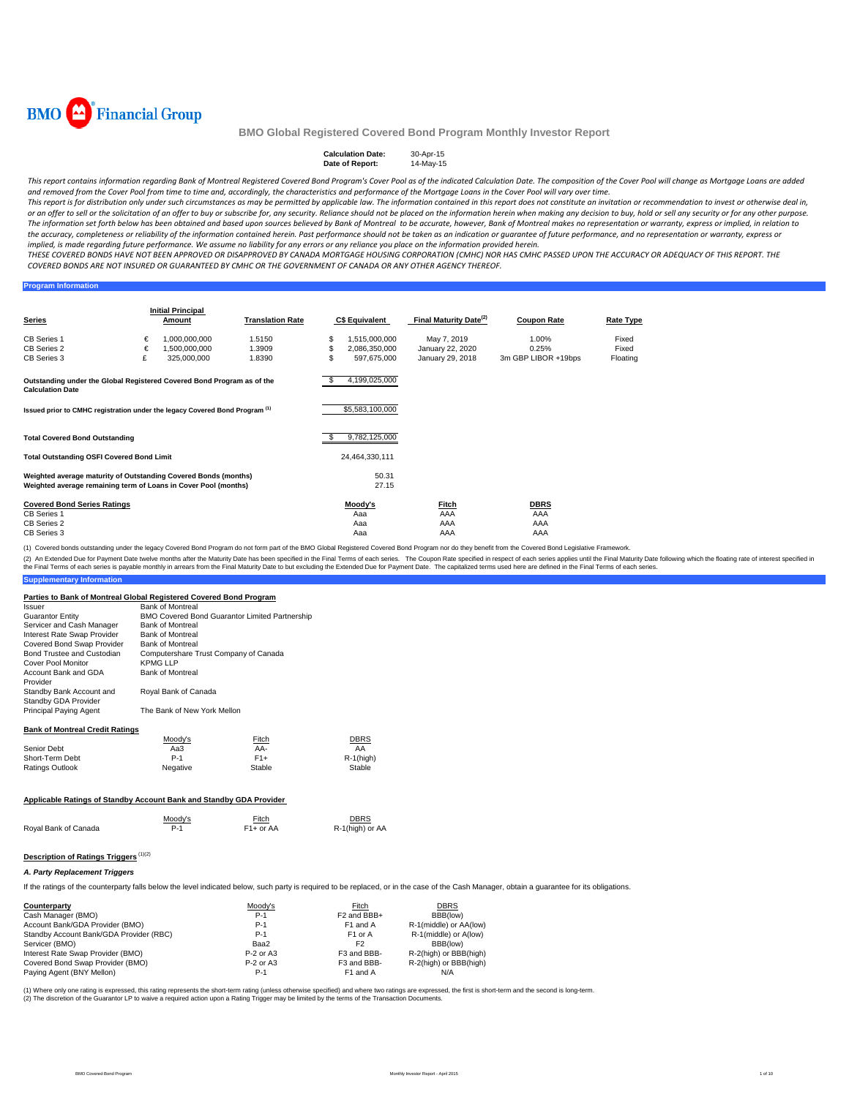

#### Calculation Date: 30-Apr-15<br>Date of Report: 14-May-15 **Date of Report:**

This report contains information regarding Bank of Montreal Registered Covered Bond Program's Cover Pool as of the indicated Calculation Date. The composition of the Cover Pool will change as Mortgage Loans are added and removed from the Cover Pool from time to time and, accordingly, the characteristics and performance of the Mortgage Loans in the Cover Pool will vary over time.

This report is for distribution only under such circumstances as may be permitted by applicable law. The information contained in this report does not constitute an invitation or recommendation to invest or otherwise deal or an offer to sell or the solicitation of an offer to buy or subscribe for, any security. Reliance should not be placed on the information herein when making any decision to buy, hold or sell any security or for any other The information set forth below has been obtained and based upon sources believed by Bank of Montreal to be accurate, however, Bank of Montreal makes no representation or warranty, express or implied, in relation to the accuracy, completeness or reliability of the information contained herein. Past performance should not be taken as an indication or guarantee of future performance, and no representation or warranty, express or implied, is made regarding future performance. We assume no liability for any errors or any reliance you place on the information provided herein.

THESE COVERED BONDS HAVE NOT BEEN APPROVED OR DISAPPROVED BY CANADA MORTGAGE HOUSING CORPORATION (CMHC) NOR HAS CMHC PASSED UPON THE ACCURACY OR ADEQUACY OF THIS REPORT. THE COVERED BONDS ARE NOT INSURED OR GUARANTEED BY CMHC OR THE GOVERNMENT OF CANADA OR ANY OTHER AGENCY THEREOF.

### **Program Information**

| Series                                                                                            |   | <b>Initial Principal</b><br>Amount | <b>Translation Rate</b> | <b>C\$ Equivalent</b> | Final Maturity Date <sup>(2)</sup> | <b>Coupon Rate</b>  | <b>Rate Type</b> |
|---------------------------------------------------------------------------------------------------|---|------------------------------------|-------------------------|-----------------------|------------------------------------|---------------------|------------------|
| CB Series 1                                                                                       | € | 1,000,000,000                      | 1.5150                  | 1,515,000,000         | May 7, 2019                        | 1.00%               | Fixed            |
| CB Series 2                                                                                       | € | 1,500,000,000                      | 1.3909                  | 2,086,350,000         | January 22, 2020                   | 0.25%               | Fixed            |
| CB Series 3                                                                                       | £ | 325,000,000                        | 1.8390                  | \$<br>597,675,000     | January 29, 2018                   | 3m GBP LIBOR +19bps | Floating         |
| Outstanding under the Global Registered Covered Bond Program as of the<br><b>Calculation Date</b> |   |                                    |                         | 4,199,025,000         |                                    |                     |                  |
| Issued prior to CMHC registration under the legacy Covered Bond Program <sup>(1)</sup>            |   |                                    |                         | \$5,583,100,000       |                                    |                     |                  |
| <b>Total Covered Bond Outstanding</b>                                                             |   |                                    |                         | 9,782,125,000         |                                    |                     |                  |
| <b>Total Outstanding OSFI Covered Bond Limit</b>                                                  |   |                                    |                         | 24,464,330,111        |                                    |                     |                  |
| Weighted average maturity of Outstanding Covered Bonds (months)                                   |   |                                    |                         | 50.31                 |                                    |                     |                  |
| Weighted average remaining term of Loans in Cover Pool (months)                                   |   |                                    |                         | 27.15                 |                                    |                     |                  |
| <b>Covered Bond Series Ratings</b>                                                                |   |                                    |                         | Moody's               | Fitch                              | <b>DBRS</b>         |                  |
| CB Series 1                                                                                       |   |                                    |                         | Aaa                   | AAA                                | AAA                 |                  |
| CB Series 2                                                                                       |   |                                    |                         | Aaa                   | AAA                                | AAA                 |                  |
| CB Series 3                                                                                       |   |                                    |                         | Aaa                   | AAA                                | AAA                 |                  |

(1) Covered bonds outstanding under the legacy Covered Bond Program do not form part of the BMO Global Registered Covered Bond Program nor do they benefit from the Covered Bond Legislative Framework.

(2) An Extended Due for Payment Date twelve months after the Maturity Date has been specified in the Final Terms of each series. The Coupon Rate specified in respect of eare defined in respect from the Final Maturity Date

### **Supplementary Inform**

#### **Parties to Bank of Montreal Global Registered Covered Bond Program**

| Issuer                                           | <b>Bank of Montreal</b>               |                                                |              |
|--------------------------------------------------|---------------------------------------|------------------------------------------------|--------------|
| <b>Guarantor Entity</b>                          |                                       | BMO Covered Bond Guarantor Limited Partnership |              |
| Servicer and Cash Manager                        | <b>Bank of Montreal</b>               |                                                |              |
| Interest Rate Swap Provider                      | <b>Bank of Montreal</b>               |                                                |              |
| Covered Bond Swap Provider                       | <b>Bank of Montreal</b>               |                                                |              |
| Bond Trustee and Custodian                       | Computershare Trust Company of Canada |                                                |              |
| <b>Cover Pool Monitor</b>                        | <b>KPMG LLP</b>                       |                                                |              |
| Account Bank and GDA<br>Provider                 | <b>Bank of Montreal</b>               |                                                |              |
| Standby Bank Account and<br>Standby GDA Provider | Royal Bank of Canada                  |                                                |              |
| Principal Paying Agent                           | The Bank of New York Mellon           |                                                |              |
| <b>Bank of Montreal Credit Ratings</b>           |                                       |                                                |              |
|                                                  | Moody's                               | Fitch                                          | <b>DBRS</b>  |
| Senior Debt                                      | Aa3                                   | AA-                                            | AA           |
| Short-Term Debt                                  | $P-1$                                 | $F1+$                                          | $R-1$ (high) |
| Ratings Outlook                                  | Negative                              | Stable                                         | Stable       |

## **Applicable Ratings of Standby Account Bank and Standby GDA Provider**

|                      | Moody's | <b>Fitch</b>           | <b>DBRS</b>     |
|----------------------|---------|------------------------|-----------------|
| Royal Bank of Canada | $P-1$   | F <sub>1</sub> + or AA | R-1(high) or AA |

## **Description of Ratings Triggers** (1)(2)

#### *A. Party Replacement Triggers*

If the ratings of the counterparty falls below the level indicated below, such party is required to be replaced, or in the case of the Cash Manager, obtain a guarantee for its obligations.

| Counterparty                            | Moody's     | Fitch                   | <b>DBRS</b>            |
|-----------------------------------------|-------------|-------------------------|------------------------|
| Cash Manager (BMO)                      | $P-1$       | F <sub>2</sub> and BBB+ | BBB(low)               |
| Account Bank/GDA Provider (BMO)         | $P-1$       | F1 and A                | R-1(middle) or AA(low) |
| Standby Account Bank/GDA Provider (RBC) | $P-1$       | F <sub>1</sub> or A     | R-1(middle) or A(low)  |
| Servicer (BMO)                          | Baa2        | F <sub>2</sub>          | BBB(low)               |
| Interest Rate Swap Provider (BMO)       | P-2 or A3   | F3 and BBB-             | R-2(high) or BBB(high) |
| Covered Bond Swap Provider (BMO)        | $P-2$ or A3 | F3 and BBB-             | R-2(high) or BBB(high) |
| Paying Agent (BNY Mellon)               | $P-1$       | F1 and A                | N/A                    |

(1) Where only one rating is expressed, this rating represents the short-term rating (unless otherwise specified) and where two ratings are expressed, the first is short-term and the second is long-term.<br>(2) The discretion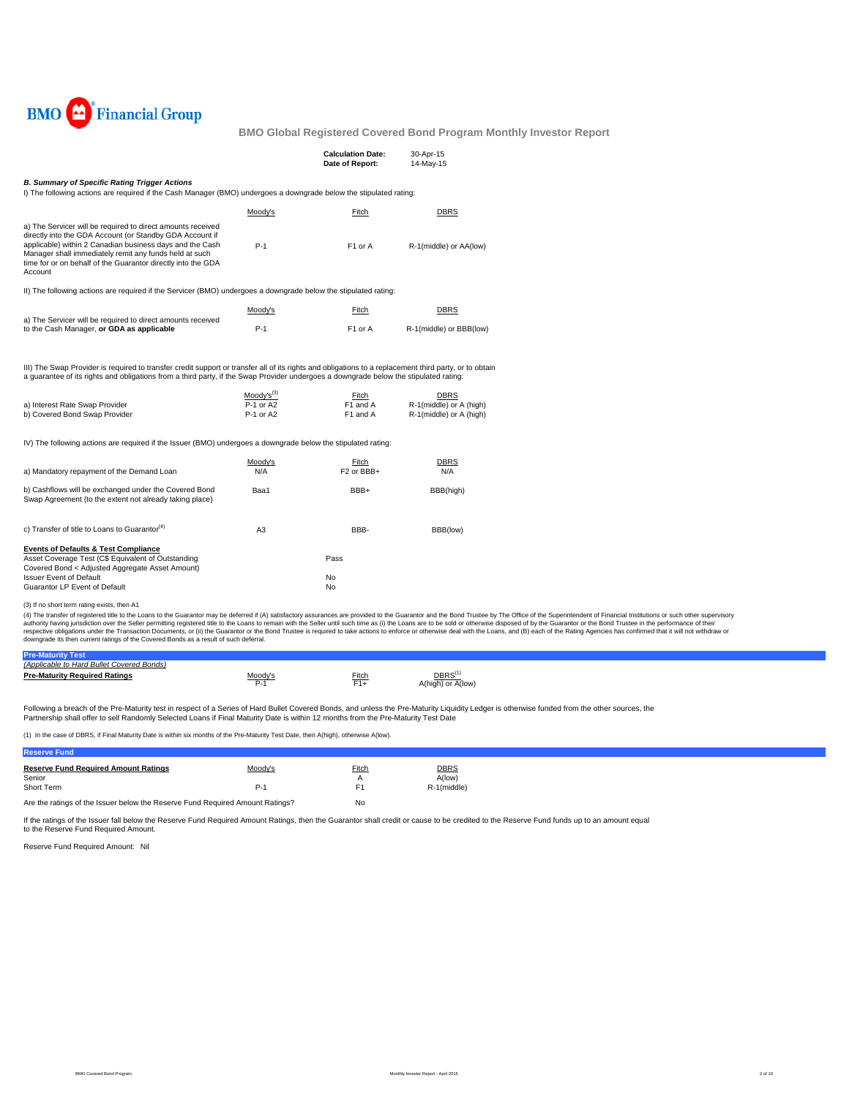

|                                                                                                                                                                                                                                                                                                                                                                                                                                                                                                                                                                                                                                                                                                                                                                                                                                                                                                                                                                                                                                                                                                                                                                                                                                                                                                                                                                                                                                                                                                                                                                                                                                                                                                                                                                                                                            |                | <b>Calculation Date:</b><br>Date of Report: | 30-Apr-15<br>14-May-15 |  |  |  |
|----------------------------------------------------------------------------------------------------------------------------------------------------------------------------------------------------------------------------------------------------------------------------------------------------------------------------------------------------------------------------------------------------------------------------------------------------------------------------------------------------------------------------------------------------------------------------------------------------------------------------------------------------------------------------------------------------------------------------------------------------------------------------------------------------------------------------------------------------------------------------------------------------------------------------------------------------------------------------------------------------------------------------------------------------------------------------------------------------------------------------------------------------------------------------------------------------------------------------------------------------------------------------------------------------------------------------------------------------------------------------------------------------------------------------------------------------------------------------------------------------------------------------------------------------------------------------------------------------------------------------------------------------------------------------------------------------------------------------------------------------------------------------------------------------------------------------|----------------|---------------------------------------------|------------------------|--|--|--|
| <b>B. Summary of Specific Rating Trigger Actions</b><br>I) The following actions are required if the Cash Manager (BMO) undergoes a downgrade below the stipulated rating:<br><b>DBRS</b><br>Moody's<br>Fitch<br>a) The Servicer will be required to direct amounts received<br>directly into the GDA Account (or Standby GDA Account if<br>applicable) within 2 Canadian business days and the Cash<br>$P-1$<br>F1 or A<br>R-1(middle) or AA(low)<br>Manager shall immediately remit any funds held at such<br>time for or on behalf of the Guarantor directly into the GDA<br>Account<br>II) The following actions are required if the Servicer (BMO) undergoes a downgrade below the stipulated rating:<br><b>DBRS</b><br>Moody's<br>Fitch<br>a) The Servicer will be required to direct amounts received<br>to the Cash Manager, or GDA as applicable<br>$P-1$<br>F1 or A<br>R-1(middle) or BBB(low)<br>III) The Swap Provider is required to transfer credit support or transfer all of its rights and obligations to a replacement third party, or to obtain<br>a quarantee of its rights and obligations from a third party, if the Swap Provider undergoes a downgrade below the stipulated rating:<br>$Modv's^{(3)}$<br><b>DBRS</b><br>Fitch<br>P-1 or A2<br>F1 and A<br>a) Interest Rate Swap Provider<br>R-1(middle) or A (high)<br>P-1 or A2<br>F1 and A<br>b) Covered Bond Swap Provider<br>R-1(middle) or A (high)<br>IV) The following actions are required if the Issuer (BMO) undergoes a downgrade below the stipulated rating:<br>Fitch<br><b>DBRS</b><br>Moody's<br>N/A<br>F <sub>2</sub> or BBB+<br>a) Mandatory repayment of the Demand Loan<br>N/A<br>b) Cashflows will be exchanged under the Covered Bond<br>Baa1<br>BBB+<br>BBB(high)<br>Swap Agreement (to the extent not already taking place) |                |                                             |                        |  |  |  |
|                                                                                                                                                                                                                                                                                                                                                                                                                                                                                                                                                                                                                                                                                                                                                                                                                                                                                                                                                                                                                                                                                                                                                                                                                                                                                                                                                                                                                                                                                                                                                                                                                                                                                                                                                                                                                            |                |                                             |                        |  |  |  |
|                                                                                                                                                                                                                                                                                                                                                                                                                                                                                                                                                                                                                                                                                                                                                                                                                                                                                                                                                                                                                                                                                                                                                                                                                                                                                                                                                                                                                                                                                                                                                                                                                                                                                                                                                                                                                            |                |                                             |                        |  |  |  |
|                                                                                                                                                                                                                                                                                                                                                                                                                                                                                                                                                                                                                                                                                                                                                                                                                                                                                                                                                                                                                                                                                                                                                                                                                                                                                                                                                                                                                                                                                                                                                                                                                                                                                                                                                                                                                            |                |                                             |                        |  |  |  |
|                                                                                                                                                                                                                                                                                                                                                                                                                                                                                                                                                                                                                                                                                                                                                                                                                                                                                                                                                                                                                                                                                                                                                                                                                                                                                                                                                                                                                                                                                                                                                                                                                                                                                                                                                                                                                            |                |                                             |                        |  |  |  |
|                                                                                                                                                                                                                                                                                                                                                                                                                                                                                                                                                                                                                                                                                                                                                                                                                                                                                                                                                                                                                                                                                                                                                                                                                                                                                                                                                                                                                                                                                                                                                                                                                                                                                                                                                                                                                            |                |                                             |                        |  |  |  |
|                                                                                                                                                                                                                                                                                                                                                                                                                                                                                                                                                                                                                                                                                                                                                                                                                                                                                                                                                                                                                                                                                                                                                                                                                                                                                                                                                                                                                                                                                                                                                                                                                                                                                                                                                                                                                            |                |                                             |                        |  |  |  |
|                                                                                                                                                                                                                                                                                                                                                                                                                                                                                                                                                                                                                                                                                                                                                                                                                                                                                                                                                                                                                                                                                                                                                                                                                                                                                                                                                                                                                                                                                                                                                                                                                                                                                                                                                                                                                            |                |                                             |                        |  |  |  |
|                                                                                                                                                                                                                                                                                                                                                                                                                                                                                                                                                                                                                                                                                                                                                                                                                                                                                                                                                                                                                                                                                                                                                                                                                                                                                                                                                                                                                                                                                                                                                                                                                                                                                                                                                                                                                            |                |                                             |                        |  |  |  |
|                                                                                                                                                                                                                                                                                                                                                                                                                                                                                                                                                                                                                                                                                                                                                                                                                                                                                                                                                                                                                                                                                                                                                                                                                                                                                                                                                                                                                                                                                                                                                                                                                                                                                                                                                                                                                            |                |                                             |                        |  |  |  |
| c) Transfer of title to Loans to Guarantor <sup>(4)</sup>                                                                                                                                                                                                                                                                                                                                                                                                                                                                                                                                                                                                                                                                                                                                                                                                                                                                                                                                                                                                                                                                                                                                                                                                                                                                                                                                                                                                                                                                                                                                                                                                                                                                                                                                                                  | A <sub>3</sub> | BBB-                                        | BBB(low)               |  |  |  |
| <b>Events of Defaults &amp; Test Compliance</b><br>Asset Coverage Test (C\$ Equivalent of Outstanding                                                                                                                                                                                                                                                                                                                                                                                                                                                                                                                                                                                                                                                                                                                                                                                                                                                                                                                                                                                                                                                                                                                                                                                                                                                                                                                                                                                                                                                                                                                                                                                                                                                                                                                      |                | Pass                                        |                        |  |  |  |
| Covered Bond < Adjusted Aggregate Asset Amount)<br><b>Issuer Event of Default</b><br>Guarantor LP Event of Default                                                                                                                                                                                                                                                                                                                                                                                                                                                                                                                                                                                                                                                                                                                                                                                                                                                                                                                                                                                                                                                                                                                                                                                                                                                                                                                                                                                                                                                                                                                                                                                                                                                                                                         |                | No<br>No                                    |                        |  |  |  |
|                                                                                                                                                                                                                                                                                                                                                                                                                                                                                                                                                                                                                                                                                                                                                                                                                                                                                                                                                                                                                                                                                                                                                                                                                                                                                                                                                                                                                                                                                                                                                                                                                                                                                                                                                                                                                            |                |                                             |                        |  |  |  |
| (3) If no short term rating exists, then A1                                                                                                                                                                                                                                                                                                                                                                                                                                                                                                                                                                                                                                                                                                                                                                                                                                                                                                                                                                                                                                                                                                                                                                                                                                                                                                                                                                                                                                                                                                                                                                                                                                                                                                                                                                                |                |                                             |                        |  |  |  |

(3) If no short term rating exists, then A1<br>(4) The transfer of registered tilte to the Loans to the Guarantor may be deferred if (A) satisfactory assurances are provided to the Guarantor and the Bond Trustee by The Office

| (Applicable to Hard Bullet Covered Bonds) |         |              |                              |
|-------------------------------------------|---------|--------------|------------------------------|
| <b>Pre-Maturity Required Ratings</b>      | M<br>Ρ. | Fitch<br>F1. | <b>DBRS</b><br>A(low<br>Augu |

Following a breach of the Pre-Maturity test in respect of a Series of Hard Bullet Covered Bonds, and unless the Pre-Maturity Liquidity Ledger is otherwise funded from the other sources, the<br>Partnership shall offer to sell

(1) In the case of DBRS, if Final Maturity Date is within six months of the Pre-Maturity Test Date, then A(high), otherwise A(low).

| <b>Reserve Fund</b>                         |          |              |             |
|---------------------------------------------|----------|--------------|-------------|
| <b>Reserve Fund Required Amount Ratings</b> | Moody's  | <b>Fitch</b> | <b>DBRS</b> |
| Senior                                      |          |              | A(low)      |
| Short Term                                  | P-       |              | R-1(middle) |
| .<br>.                                      | ________ | $\sim$       |             |

Are the ratings of the Issuer below the Reserve Fund Required Amount Ratings? No

If the ratings of the Issuer fall below the Reserve Fund Required Amount Ratings, then the Guarantor shall credit or cause to be credited to the Reserve Fund funds up to an amount equal to the Reserve Fund Required Amount.

Reserve Fund Required Amount: Nil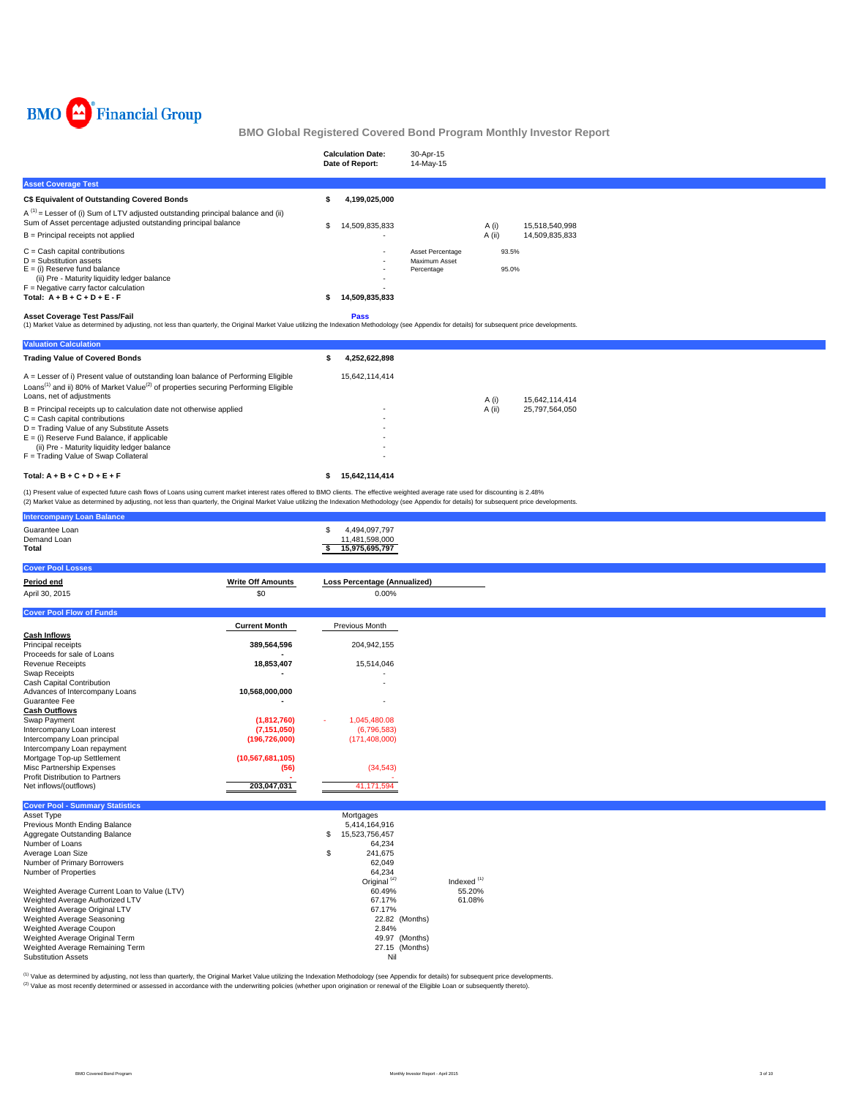

|                                                                                                                                                                                                                                            | <b>Calculation Date:</b><br>Date of Report: | 30-Apr-15<br>14-May-15                                            |
|--------------------------------------------------------------------------------------------------------------------------------------------------------------------------------------------------------------------------------------------|---------------------------------------------|-------------------------------------------------------------------|
| <b>Asset Coverage Test</b>                                                                                                                                                                                                                 |                                             |                                                                   |
| C\$ Equivalent of Outstanding Covered Bonds                                                                                                                                                                                                | 4,199,025,000                               |                                                                   |
| $A^{(1)}$ = Lesser of (i) Sum of LTV adjusted outstanding principal balance and (ii)<br>Sum of Asset percentage adjusted outstanding principal balance                                                                                     | 14,509,835,833                              | A (i)<br>15.518.540.998                                           |
| B = Principal receipts not applied                                                                                                                                                                                                         |                                             | A (ii)<br>14,509,835,833                                          |
| $C =$ Cash capital contributions<br>$D =$ Substitution assets<br>$E =$ (i) Reserve fund balance<br>(ii) Pre - Maturity liquidity ledger balance<br>$F =$ Negative carry factor calculation<br>Total: $A + B + C + D + E - F$               | 14,509,835,833                              | 93.5%<br>Asset Percentage<br>Maximum Asset<br>95.0%<br>Percentage |
| <b>Asset Coverage Test Pass/Fail</b><br>(1) Market Value as determined by adjusting, not less than quarterly, the Original Market Value utilizing the Indexation Methodology (see Appendix for details) for subsequent price developments. | <b>Pass</b>                                 |                                                                   |

| <b>Valuation Calculation</b>                                                                                                                                                                                                 |                     |        |                |
|------------------------------------------------------------------------------------------------------------------------------------------------------------------------------------------------------------------------------|---------------------|--------|----------------|
| <b>Trading Value of Covered Bonds</b>                                                                                                                                                                                        | \$<br>4.252.622.898 |        |                |
| A = Lesser of i) Present value of outstanding loan balance of Performing Eligible<br>Loans <sup>(1)</sup> and ii) 80% of Market Value <sup>(2)</sup> of properties securing Performing Eligible<br>Loans, net of adjustments | 15.642.114.414      | A (i)  | 15.642.114.414 |
| $B =$ Principal receipts up to calculation date not otherwise applied                                                                                                                                                        |                     | A (ii) | 25.797.564.050 |
| $C = Cash$ capital contributions                                                                                                                                                                                             |                     |        |                |
| D = Trading Value of any Substitute Assets                                                                                                                                                                                   |                     |        |                |
| $E =$ (i) Reserve Fund Balance, if applicable                                                                                                                                                                                |                     |        |                |
| (ii) Pre - Maturity liquidity ledger balance                                                                                                                                                                                 |                     |        |                |
| F = Trading Value of Swap Collateral                                                                                                                                                                                         |                     |        |                |
| Total: $A + B + C + D + E + F$                                                                                                                                                                                               | 15.642.114.414      |        |                |

(1) Present value of expected future cash flows of Loans using current market interest rates offered to BMO clients. The effective weighted average rate used for discounting is 2.48%<br>(2) Market Value as determined by adjus

| <b>Intercompany Loan Balance</b>                                                |                          |                                     |               |
|---------------------------------------------------------------------------------|--------------------------|-------------------------------------|---------------|
| Guarantee Loan                                                                  |                          | 4,494,097,797<br>S                  |               |
| Demand Loan                                                                     |                          | 11,481,598,000                      |               |
| Total                                                                           |                          | \$<br>15,975,695,797                |               |
| <b>Cover Pool Losses</b>                                                        |                          |                                     |               |
| Period end                                                                      | <b>Write Off Amounts</b> | <b>Loss Percentage (Annualized)</b> |               |
| April 30, 2015                                                                  | \$0                      | 0.00%                               |               |
| <b>Cover Pool Flow of Funds</b>                                                 |                          |                                     |               |
|                                                                                 | <b>Current Month</b>     | Previous Month                      |               |
| <b>Cash Inflows</b>                                                             |                          |                                     |               |
| Principal receipts                                                              | 389,564,596              | 204,942,155                         |               |
| Proceeds for sale of Loans                                                      |                          |                                     |               |
| <b>Revenue Receipts</b><br>Swap Receipts                                        | 18,853,407               | 15,514,046                          |               |
| Cash Capital Contribution                                                       |                          |                                     |               |
| Advances of Intercompany Loans                                                  | 10,568,000,000           |                                     |               |
| Guarantee Fee                                                                   |                          |                                     |               |
| <b>Cash Outflows</b>                                                            |                          |                                     |               |
| Swap Payment                                                                    | (1,812,760)              | 1,045,480.08                        |               |
| Intercompany Loan interest                                                      | (7, 151, 050)            | (6,796,583)                         |               |
| Intercompany Loan principal                                                     | (196, 726, 000)          | (171, 408, 000)                     |               |
| Intercompany Loan repayment                                                     |                          |                                     |               |
| Mortgage Top-up Settlement                                                      | (10, 567, 681, 105)      |                                     |               |
| Misc Partnership Expenses                                                       | (56)                     | (34, 543)                           |               |
| <b>Profit Distribution to Partners</b><br>Net inflows/(outflows)                | 203,047,031              | 41,171,594                          |               |
|                                                                                 |                          |                                     |               |
| <b>Cover Pool - Summary Statistics</b>                                          |                          |                                     |               |
| Asset Type                                                                      |                          | Mortgages                           |               |
| Previous Month Ending Balance                                                   |                          | 5,414,164,916                       |               |
| Aggregate Outstanding Balance                                                   |                          | 15,523,756,457<br>\$                |               |
| Number of Loans                                                                 |                          | 64,234                              |               |
| Average Loan Size                                                               |                          | \$<br>241,675                       |               |
| Number of Primary Borrowers                                                     |                          | 62,049                              |               |
| Number of Properties                                                            |                          | 64,234<br>Original <sup>(2)</sup>   | Indexed $(1)$ |
|                                                                                 |                          |                                     | 55.20%        |
| Weighted Average Current Loan to Value (LTV)<br>Weighted Average Authorized LTV |                          | 60.49%<br>67.17%                    | 61.08%        |
| Weighted Average Original LTV                                                   |                          | 67.17%                              |               |
| Weighted Average Seasoning                                                      |                          | 22.82 (Months)                      |               |
| Weighted Average Coupon                                                         |                          | 2.84%                               |               |
| Weighted Average Original Term                                                  |                          | 49.97 (Months)                      |               |
| Weighted Average Remaining Term                                                 |                          | 27.15 (Months)                      |               |

<sup>(1)</sup> Value as determined by adjusting, not less than quarterly, the Original Market Value utilizing the Indexation Methodology (see Appendix for details) for subsequent price developments.<br><sup>(2)</sup> Value as most recently det

Substitution Assets Nil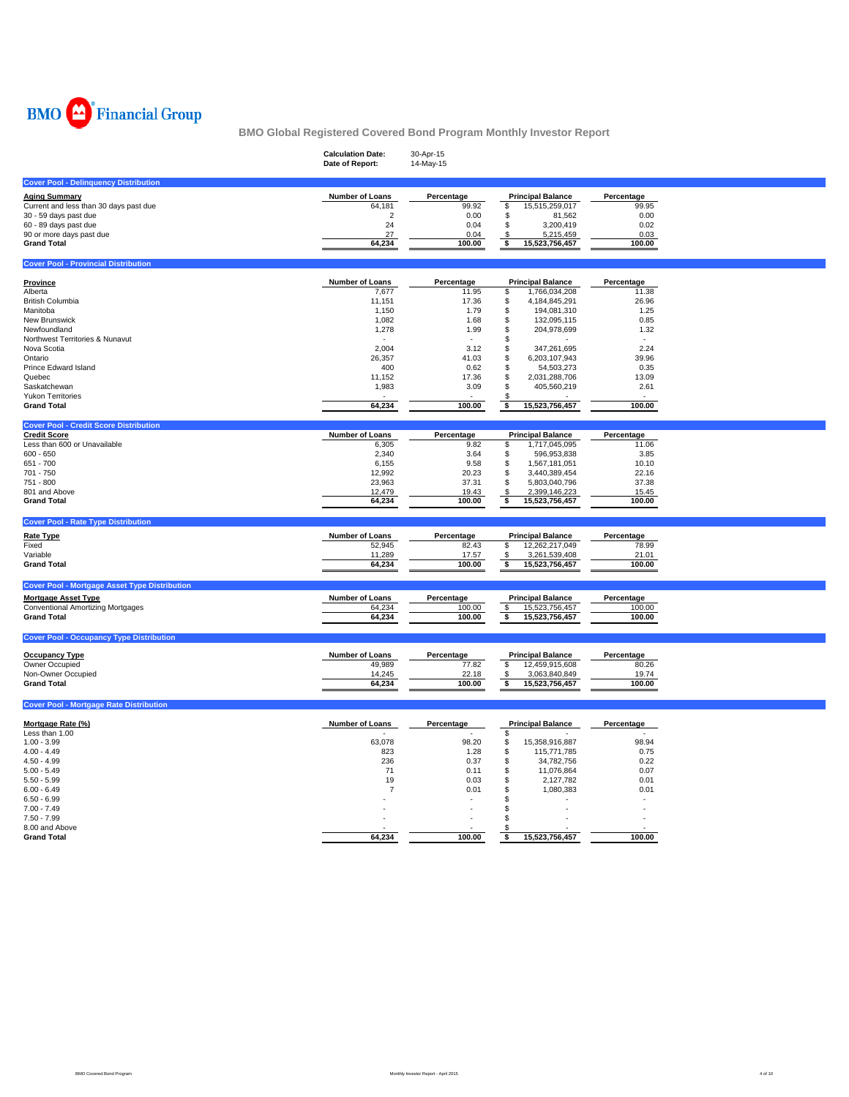

|                                                      | <b>Calculation Date:</b><br>Date of Report: | 30-Apr-15<br>14-May-15 |                          |            |
|------------------------------------------------------|---------------------------------------------|------------------------|--------------------------|------------|
| <b>Cover Pool - Delinquency Distribution</b>         |                                             |                        |                          |            |
| <b>Aging Summary</b>                                 | <b>Number of Loans</b>                      | Percentage             | <b>Principal Balance</b> | Percentage |
| Current and less than 30 days past due               | 64,181                                      | 99.92                  | 15,515,259,017<br>\$     | 99.95      |
| 30 - 59 days past due                                | $\overline{2}$                              | 0.00                   | \$<br>81,562             | 0.00       |
| 60 - 89 days past due                                | 24                                          | 0.04                   | \$<br>3,200,419          | 0.02       |
| 90 or more days past due                             | 27                                          | 0.04                   | 5,215,459<br>\$          | 0.03       |
| <b>Grand Total</b>                                   | 64,234                                      | 100.00                 | 15,523,756,457<br>\$     | 100.00     |
|                                                      |                                             |                        |                          |            |
| <b>Cover Pool - Provincial Distribution</b>          |                                             |                        |                          |            |
| <b>Province</b>                                      | <b>Number of Loans</b>                      | Percentage             | <b>Principal Balance</b> | Percentage |
| Alberta                                              | 7,677                                       | 11.95                  | \$<br>1,766,034,208      | 11.38      |
| <b>British Columbia</b>                              | 11,151                                      | 17.36                  | \$<br>4,184,845,291      | 26.96      |
| Manitoba                                             | 1,150                                       | 1.79                   | \$<br>194,081,310        | 1.25       |
| New Brunswick                                        | 1,082                                       | 1.68                   | \$<br>132,095,115        | 0.85       |
| Newfoundland                                         | 1,278                                       | 1.99                   | \$<br>204,978,699        | 1.32       |
| Northwest Territories & Nunavut                      |                                             | $\sim$                 | \$                       |            |
| Nova Scotia                                          | 2,004                                       | 3.12                   | 347,261,695<br>\$        | 2.24       |
| Ontario                                              | 26,357                                      | 41.03                  | \$<br>6,203,107,943      | 39.96      |
| Prince Edward Island                                 | 400                                         | 0.62                   | \$<br>54,503,273         | 0.35       |
|                                                      |                                             |                        |                          |            |
| Quebec                                               | 11,152                                      | 17.36                  | \$<br>2,031,288,706      | 13.09      |
| Saskatchewan                                         | 1,983                                       | 3.09                   | \$<br>405,560,219        | 2.61       |
| Yukon Territories                                    |                                             |                        | S                        |            |
| <b>Grand Total</b>                                   | 64,234                                      | 100.00                 | 15,523,756,457<br>\$     | 100.00     |
| <b>Cover Pool - Credit Score Distribution</b>        |                                             |                        |                          |            |
| <b>Credit Score</b>                                  | Number of Loans                             | Percentage             | <b>Principal Balance</b> | Percentage |
| Less than 600 or Unavailable                         | 6,305                                       | 9.82                   | 1,717,045,095<br>\$      | 11.06      |
| 600 - 650                                            | 2,340                                       | 3.64                   | \$<br>596,953,838        | 3.85       |
| 651 - 700                                            | 6,155                                       | 9.58                   | \$<br>1,567,181,051      | 10.10      |
| 701 - 750                                            | 12,992                                      | 20.23                  | \$<br>3,440,389,454      | 22.16      |
| 751 - 800                                            | 23,963                                      | 37.31                  | \$<br>5,803,040,796      | 37.38      |
| 801 and Above                                        | 12,479                                      | 19.43                  | \$<br>2,399,146,223      | 15.45      |
| <b>Grand Total</b>                                   | 64,234                                      | 100.00                 | \$<br>15,523,756,457     | 100.00     |
|                                                      |                                             |                        |                          |            |
| <b>Cover Pool - Rate Type Distribution</b>           |                                             |                        |                          |            |
| <b>Rate Type</b>                                     | Number of Loans                             | Percentage             | <b>Principal Balance</b> | Percentage |
| Fixed                                                | 52,945                                      | 82.43                  | \$<br>12,262,217,049     | 78.99      |
| Variable                                             | 11,289                                      | 17.57                  | 3,261,539,408<br>\$      | 21.01      |
| <b>Grand Total</b>                                   | 64,234                                      | 100.00                 | 15,523,756,457<br>\$     | 100.00     |
|                                                      |                                             |                        |                          |            |
| <b>Cover Pool - Mortgage Asset Type Distribution</b> |                                             |                        |                          |            |
| <b>Mortgage Asset Type</b>                           | <b>Number of Loans</b>                      | Percentage             | <b>Principal Balance</b> | Percentage |
| Conventional Amortizing Mortgages                    | 64,234                                      | 100.00                 | \$<br>15,523,756,457     | 100.00     |
| <b>Grand Total</b>                                   | 64,234                                      | 100.00                 | \$<br>15,523,756,457     | 100.00     |
| <b>Cover Pool - Occupancy Type Distribution</b>      |                                             |                        |                          |            |
|                                                      |                                             |                        |                          |            |
| <b>Occupancy Type</b>                                | <b>Number of Loans</b>                      | Percentage             | <b>Principal Balance</b> | Percentage |
| Owner Occupied                                       | 49,989                                      | 77.82                  | \$<br>12,459,915,608     | 80.26      |
| Non-Owner Occupied                                   | 14,245                                      | 22.18                  | 3,063,840,849<br>\$      | 19.74      |
| <b>Grand Total</b>                                   | 64,234                                      | 100.00                 | 15,523,756,457<br>\$     | 100.00     |
| <b>Cover Pool - Mortgage Rate Distribution</b>       |                                             |                        |                          |            |
|                                                      |                                             |                        |                          |            |
| Mortgage Rate (%)                                    | <b>Number of Loans</b>                      | Percentage             | <b>Principal Balance</b> | Percentage |
| Less than 1.00                                       |                                             |                        | \$                       |            |
| $1.00 - 3.99$                                        | 63,078                                      | 98.20                  | \$<br>15,358,916,887     | 98.94      |
| $4.00 - 4.49$                                        | 823                                         | 1.28                   | \$<br>115,771,785        | 0.75       |
| $4.50 - 4.99$                                        | 236                                         | 0.37                   | 34,782,756<br>\$         | 0.22       |
| $5.00 - 5.49$                                        | 71                                          | 0.11                   | \$<br>11,076,864         | 0.07       |
| $5.50 - 5.99$                                        | 19                                          | 0.03                   | \$<br>2,127,782          | 0.01       |
| $6.00 - 6.49$                                        | $\overline{7}$                              | 0.01                   | \$<br>1,080,383          | 0.01       |
| $6.50 - 6.99$                                        |                                             |                        | \$                       |            |
| $7.00 - 7.49$                                        |                                             |                        | \$                       |            |
| $7.50 - 7.99$                                        |                                             |                        |                          |            |
|                                                      |                                             |                        | \$                       |            |
| 8.00 and Above                                       |                                             | 100.00                 | S<br>15,523,756,457      | 100.00     |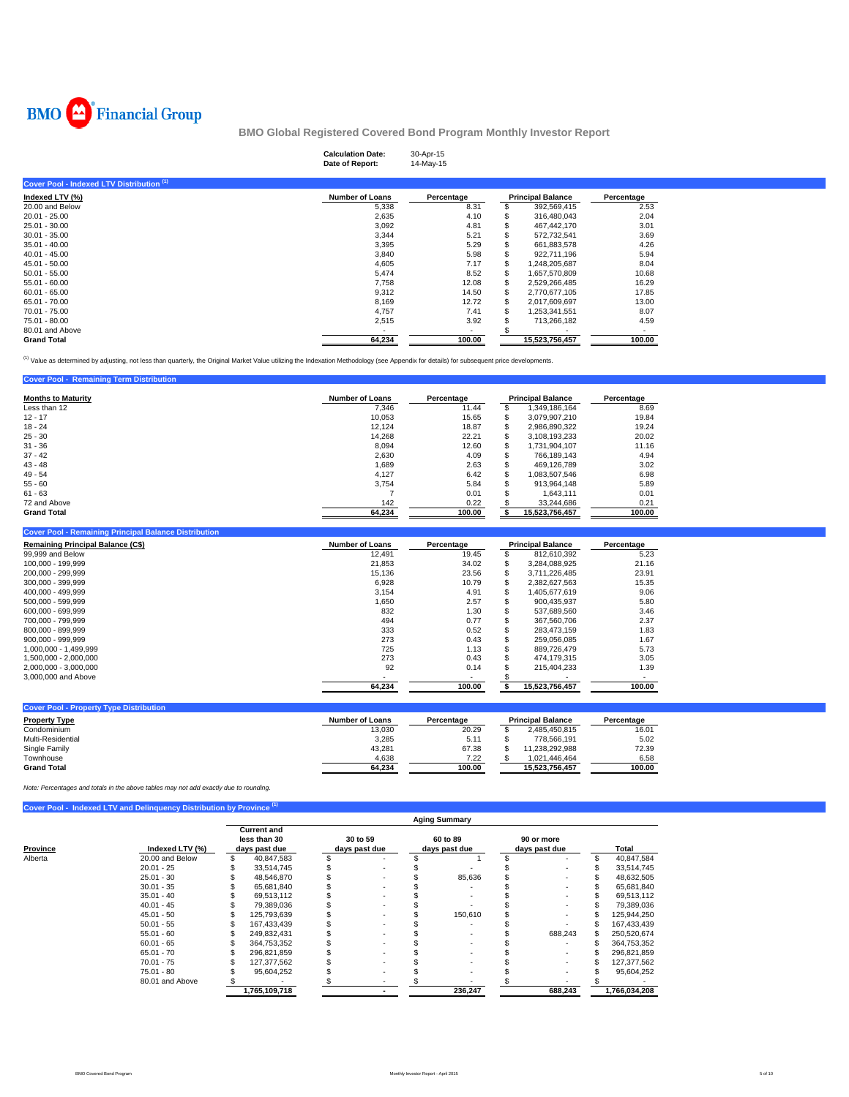

| <b>Calculation Date:</b> | 30-Apr-15       |           |                |                          |  |
|--------------------------|-----------------|-----------|----------------|--------------------------|--|
|                          |                 |           |                |                          |  |
|                          |                 |           |                |                          |  |
| <b>Number of Loans</b>   | Percentage      |           |                | Percentage               |  |
| 5,338                    | 8.31            |           | 392,569,415    | 2.53                     |  |
| 2,635                    | 4.10            |           | 316,480,043    | 2.04                     |  |
| 3,092                    | 4.81            |           | 467,442,170    | 3.01                     |  |
| 3,344                    | 5.21            |           | 572,732,541    | 3.69                     |  |
| 3,395                    | 5.29            |           | 661,883,578    | 4.26                     |  |
| 3,840                    | 5.98            |           | 922.711.196    | 5.94                     |  |
| 4,605                    | 7.17            |           | 1,248,205,687  | 8.04                     |  |
| 5,474                    | 8.52            |           | 1,657,570,809  | 10.68                    |  |
| 7,758                    | 12.08           | S         | 2,529,266,485  | 16.29                    |  |
| 9,312                    | 14.50           | S         | 2,770,677,105  | 17.85                    |  |
| 8,169                    | 12.72           | S         | 2.017.609.697  | 13.00                    |  |
| 4,757                    | 7.41            |           | 1,253,341,551  | 8.07                     |  |
| 2,515                    | 3.92            |           | 713,266,182    | 4.59                     |  |
|                          |                 |           |                |                          |  |
| 64,234                   | 100.00          |           | 15,523,756,457 | 100.00                   |  |
|                          | Date of Report: | 14-May-15 |                | <b>Principal Balance</b> |  |

<sup>(1)</sup> Value as determined by adjusting, not less than quarterly, the Original Market Value utilizing the Indexation Methodology (see Appendix for details) for subsequent price developments.

| <b>Cover Pool - Remaining Term Distribution</b> |                        |            |   |                          |            |
|-------------------------------------------------|------------------------|------------|---|--------------------------|------------|
| <b>Months to Maturity</b>                       | <b>Number of Loans</b> | Percentage |   | <b>Principal Balance</b> | Percentage |
| Less than 12                                    | 7.346                  | 11.44      |   | 1.349.186.164            | 8.69       |
| $12 - 17$                                       | 10,053                 | 15.65      |   | 3,079,907,210            | 19.84      |
| $18 - 24$                                       | 12.124                 | 18.87      |   | 2,986,890,322            | 19.24      |
| $25 - 30$                                       | 14,268                 | 22.21      | S | 3.108.193.233            | 20.02      |
| $31 - 36$                                       | 8.094                  | 12.60      |   | 1.731.904.107            | 11.16      |
| $37 - 42$                                       | 2,630                  | 4.09       |   | 766.189.143              | 4.94       |
| $43 - 48$                                       | 1.689                  | 2.63       |   | 469.126.789              | 3.02       |
| $49 - 54$                                       | 4.127                  | 6.42       |   | 1.083.507.546            | 6.98       |
| $55 - 60$                                       | 3.754                  | 5.84       |   | 913.964.148              | 5.89       |
| $61 - 63$                                       |                        | 0.01       |   | 1.643.111                | 0.01       |
| 72 and Above                                    | 142                    | 0.22       |   | 33.244.686               | 0.21       |
| <b>Grand Total</b>                              | 64,234                 | 100.00     |   | 15,523,756,457           | 100.00     |

| <b>Cover Pool - Remaining Principal Balance Distribution</b> |                        |            |                          |            |  |
|--------------------------------------------------------------|------------------------|------------|--------------------------|------------|--|
| <b>Remaining Principal Balance (C\$)</b>                     | <b>Number of Loans</b> | Percentage | <b>Principal Balance</b> | Percentage |  |
| 99.999 and Below                                             | 12.491                 | 19.45      | 812.610.392              | 5.23       |  |
| 100.000 - 199.999                                            | 21,853                 | 34.02      | 3,284,088,925            | 21.16      |  |
| 200.000 - 299.999                                            | 15.136                 | 23.56      | 3.711.226.485            | 23.91      |  |
| 300.000 - 399.999                                            | 6.928                  | 10.79      | 2,382,627,563            | 15.35      |  |
| 400.000 - 499.999                                            | 3.154                  | 4.91       | 1.405.677.619            | 9.06       |  |
| 500.000 - 599.999                                            | 1,650                  | 2.57       | 900,435,937              | 5.80       |  |
| 600.000 - 699.999                                            | 832                    | 1.30       | 537.689.560              | 3.46       |  |
| 700.000 - 799.999                                            | 494                    | 0.77       | 367.560.706              | 2.37       |  |
| 800.000 - 899.999                                            | 333                    | 0.52       | 283.473.159              | 1.83       |  |
| $900.000 - 999.999$                                          | 273                    | 0.43       | 259,056,085              | 1.67       |  |
| 1.000.000 - 1.499.999                                        | 725                    | 1.13       | 889.726.479              | 5.73       |  |
| 1.500.000 - 2.000.000                                        | 273                    | 0.43       | 474.179.315              | 3.05       |  |
| 2.000.000 - 3.000.000                                        | 92                     | 0.14       | 215.404.233              | 1.39       |  |
| 3,000,000 and Above                                          |                        |            |                          |            |  |
|                                                              | 64.234                 | 100.00     | 15,523,756,457           | 100.00     |  |

| Number of Loans | Percentage |                | Percentage               |
|-----------------|------------|----------------|--------------------------|
| 13,030          | 20.29      | 2.485.450.815  | 16.01                    |
| 3,285           | 5.1'       | 778.566.191    | 5.02                     |
| 43.281          | 67.38      | 11.238.292.988 | 72.39                    |
| 4.638           | 7.22       | 1.021.446.464  | 6.58                     |
| 64.234          | 100.00     | 15.523.756.457 | 100.00                   |
|                 |            |                | <b>Principal Balance</b> |

*Note: Percentages and totals in the above tables may not add exactly due to rounding.*

**Cover Pool - Indexed LTV and Delinquency Distribution by Province (1)** 

|          |                 | <b>Aging Summary</b>                                |               |                           |  |                           |         |                             |         |  |               |  |
|----------|-----------------|-----------------------------------------------------|---------------|---------------------------|--|---------------------------|---------|-----------------------------|---------|--|---------------|--|
| Province | Indexed LTV (%) | <b>Current and</b><br>less than 30<br>days past due |               | 30 to 59<br>days past due |  | 60 to 89<br>days past due |         | 90 or more<br>days past due |         |  | Total         |  |
| Alberta  | 20.00 and Below |                                                     | 40,847,583    |                           |  |                           |         |                             |         |  | 40,847,584    |  |
|          | $20.01 - 25$    |                                                     | 33.514.745    |                           |  |                           |         |                             |         |  | 33,514,745    |  |
|          | $25.01 - 30$    |                                                     | 48,546,870    |                           |  |                           | 85.636  |                             |         |  | 48,632,505    |  |
|          | $30.01 - 35$    |                                                     | 65,681,840    |                           |  |                           |         |                             |         |  | 65,681,840    |  |
|          | $35.01 - 40$    |                                                     | 69,513,112    |                           |  |                           |         |                             |         |  | 69,513,112    |  |
|          | $40.01 - 45$    |                                                     | 79.389.036    |                           |  |                           |         |                             |         |  | 79,389,036    |  |
|          | $45.01 - 50$    |                                                     | 125.793.639   |                           |  |                           | 150.610 |                             |         |  | 125,944,250   |  |
|          | $50.01 - 55$    |                                                     | 167,433,439   |                           |  |                           |         |                             |         |  | 167,433,439   |  |
|          | $55.01 - 60$    |                                                     | 249,832,431   |                           |  |                           |         |                             | 688,243 |  | 250,520,674   |  |
|          | $60.01 - 65$    |                                                     | 364.753.352   |                           |  |                           |         |                             |         |  | 364,753,352   |  |
|          | $65.01 - 70$    |                                                     | 296.821.859   |                           |  |                           |         |                             |         |  | 296,821,859   |  |
|          | $70.01 - 75$    |                                                     | 127,377,562   |                           |  |                           |         |                             |         |  | 127,377,562   |  |
|          | $75.01 - 80$    |                                                     | 95,604,252    |                           |  |                           |         |                             |         |  | 95,604,252    |  |
|          | 80.01 and Above |                                                     |               |                           |  |                           |         |                             |         |  |               |  |
|          |                 |                                                     | 1,765,109,718 |                           |  |                           | 236,247 |                             | 688,243 |  | 1,766,034,208 |  |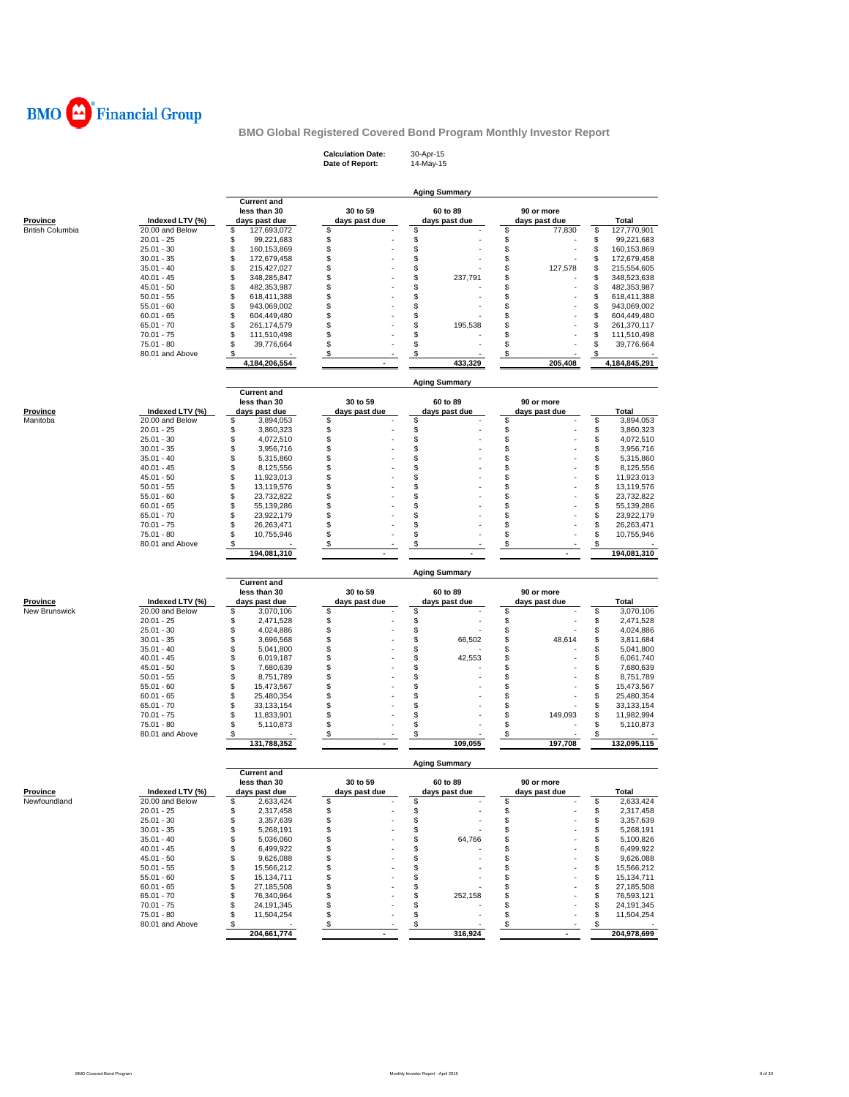

**Calculation Date:** 30-Apr-15 **Date of Report:** 14-May-15

|                                            |                                    | Aging Summary                      |                     |                      |                               |                            |  |  |  |  |  |
|--------------------------------------------|------------------------------------|------------------------------------|---------------------|----------------------|-------------------------------|----------------------------|--|--|--|--|--|
|                                            |                                    | <b>Current and</b>                 |                     |                      |                               |                            |  |  |  |  |  |
|                                            |                                    | less than 30                       | 30 to 59            | 60 to 89             | 90 or more                    |                            |  |  |  |  |  |
| <b>Province</b><br><b>British Columbia</b> | Indexed LTV (%)<br>20.00 and Below | days past due<br>\$<br>127,693,072 | days past due<br>\$ | days past due<br>\$  | days past due<br>\$<br>77,830 | Total<br>\$<br>127,770,901 |  |  |  |  |  |
|                                            | $20.01 - 25$                       | \$<br>99,221,683                   | \$                  | \$                   | \$                            | \$<br>99,221,683           |  |  |  |  |  |
|                                            | 25.01 - 30                         | \$<br>160,153,869                  | \$                  | \$                   | \$                            | \$<br>160,153,869          |  |  |  |  |  |
|                                            | $30.01 - 35$                       | \$<br>172,679,458                  | \$                  | \$                   | \$                            | 172,679,458<br>S           |  |  |  |  |  |
|                                            | $35.01 - 40$                       | \$<br>215,427,027                  | \$                  | \$                   | \$<br>127,578                 | \$<br>215,554,605          |  |  |  |  |  |
|                                            | $40.01 - 45$                       | \$<br>348,285,847                  | \$                  | \$<br>237,791        | \$                            | S<br>348,523,638           |  |  |  |  |  |
|                                            | 45.01 - 50                         | \$<br>482,353,987                  | \$                  | \$                   | \$                            | \$<br>482,353,987          |  |  |  |  |  |
|                                            | $50.01 - 55$                       | \$<br>618,411,388                  | \$                  | \$                   | S                             | \$<br>618,411,388          |  |  |  |  |  |
|                                            | $55.01 - 60$                       | \$<br>943,069,002                  | \$                  | \$                   | \$                            | \$<br>943,069,002          |  |  |  |  |  |
|                                            | $60.01 - 65$                       | \$<br>604,449,480                  | \$                  | \$                   | \$                            | \$<br>604,449,480          |  |  |  |  |  |
|                                            | $65.01 - 70$                       | \$<br>261,174,579                  | \$                  | \$<br>195,538        | \$                            | 261,370,117<br>\$          |  |  |  |  |  |
|                                            | $70.01 - 75$                       | \$<br>111,510,498                  | \$                  | \$                   | \$                            | \$<br>111,510,498          |  |  |  |  |  |
|                                            | 75.01 - 80                         | \$<br>39,776,664                   | \$                  | \$                   | \$                            | \$<br>39,776,664           |  |  |  |  |  |
|                                            | 80.01 and Above                    | \$                                 | \$                  | \$                   | \$                            |                            |  |  |  |  |  |
|                                            |                                    | 4,184,206,554                      |                     | 433,329              | 205,408                       | 4,184,845,291              |  |  |  |  |  |
|                                            |                                    |                                    |                     |                      |                               |                            |  |  |  |  |  |
|                                            |                                    |                                    |                     | <b>Aging Summary</b> |                               |                            |  |  |  |  |  |
|                                            |                                    | <b>Current and</b>                 |                     |                      |                               |                            |  |  |  |  |  |
|                                            |                                    | less than 30                       | 30 to 59            | 60 to 89             | 90 or more                    |                            |  |  |  |  |  |
| <u>Province</u>                            | Indexed LTV (%)                    | days past due                      | days past due       | days past due        | days past due                 | Total                      |  |  |  |  |  |
| Manitoba                                   | 20.00 and Below                    | \$<br>3,894,053                    | \$                  | \$                   | \$                            | \$<br>3,894,053            |  |  |  |  |  |
|                                            | $20.01 - 25$                       | \$<br>3,860,323                    | \$                  | \$                   | \$                            | \$<br>3,860,323            |  |  |  |  |  |
|                                            | $25.01 - 30$                       | \$<br>4,072,510                    | \$                  | \$                   | \$                            | \$<br>4,072,510            |  |  |  |  |  |
|                                            | $30.01 - 35$                       | \$<br>3,956,716                    | \$                  | \$                   | \$                            | \$<br>3,956,716            |  |  |  |  |  |
|                                            | $35.01 - 40$                       | \$<br>5,315,860                    | \$                  | \$                   | \$                            | \$<br>5,315,860            |  |  |  |  |  |
|                                            | $40.01 - 45$                       | \$<br>8,125,556                    | \$                  | \$                   | \$                            | \$<br>8,125,556            |  |  |  |  |  |
|                                            | $45.01 - 50$                       | \$<br>11,923,013                   | \$                  | \$                   | \$                            | \$<br>11,923,013           |  |  |  |  |  |
|                                            | $50.01 - 55$                       | \$<br>13,119,576                   | \$                  | \$                   | \$                            | \$<br>13,119,576           |  |  |  |  |  |
|                                            | $55.01 - 60$                       | \$<br>23,732,822                   | \$                  | \$                   | \$                            | \$<br>23,732,822           |  |  |  |  |  |
|                                            | $60.01 - 65$                       | \$<br>55,139,286                   | \$                  | \$                   | \$                            | \$<br>55,139,286           |  |  |  |  |  |
|                                            | $65.01 - 70$                       | \$<br>23,922,179                   | \$                  | \$                   | \$                            | \$<br>23,922,179           |  |  |  |  |  |
|                                            | $70.01 - 75$                       | \$<br>26,263,471                   | \$                  | \$                   | \$                            | \$<br>26,263,471           |  |  |  |  |  |
|                                            | $75.01 - 80$                       | \$<br>10,755,946                   | \$                  | \$                   | \$                            | \$<br>10,755,946           |  |  |  |  |  |
|                                            | 80.01 and Above                    | \$                                 | \$                  | \$                   | \$                            | \$                         |  |  |  |  |  |
|                                            |                                    | 194,081,310                        |                     |                      |                               | 194,081,310                |  |  |  |  |  |
|                                            |                                    |                                    |                     | <b>Aging Summary</b> |                               |                            |  |  |  |  |  |
|                                            |                                    | <b>Current and</b>                 |                     |                      |                               |                            |  |  |  |  |  |
|                                            |                                    | less than 30                       | 30 to 59            | 60 to 89             | 90 or more                    |                            |  |  |  |  |  |
| Province                                   | Indexed LTV (%)                    | days past due                      | days past due       | days past due        | days past due                 | Total                      |  |  |  |  |  |
| New Brunswick                              | 20.00 and Below                    | \$<br>3,070,106                    | \$                  | \$                   | \$                            | \$<br>3,070,106            |  |  |  |  |  |
|                                            | 20.01 - 25                         | \$<br>2,471,528                    | \$                  | \$                   | \$                            | \$<br>2,471,528            |  |  |  |  |  |
|                                            | 25.01 - 30                         | \$<br>4,024,886                    | \$                  | \$                   | \$                            | \$<br>4,024,886            |  |  |  |  |  |
|                                            | $30.01 - 35$                       | \$<br>3,696,568                    | \$                  | \$<br>66,502         | \$<br>48,614                  | \$<br>3,811,684            |  |  |  |  |  |
|                                            | $35.01 - 40$                       | \$<br>5,041,800                    | \$                  | \$                   | \$                            | \$<br>5,041,800            |  |  |  |  |  |
|                                            | $40.01 - 45$                       | \$<br>6,019,187                    | \$                  | \$<br>42,553         | \$                            | \$<br>6,061,740            |  |  |  |  |  |
|                                            | $45.01 - 50$                       | \$<br>7,680,639                    | \$                  | \$                   | \$                            | \$<br>7,680,639            |  |  |  |  |  |
|                                            | $50.01 - 55$                       | \$<br>8,751,789                    | \$                  | \$                   | \$                            | \$<br>8,751,789            |  |  |  |  |  |
|                                            | $55.01 - 60$                       | \$<br>15,473,567                   | \$                  | \$                   | \$                            | \$<br>15,473,567           |  |  |  |  |  |
|                                            | $60.01 - 65$                       | \$<br>25,480,354                   | \$                  | \$                   | \$                            | \$<br>25,480,354           |  |  |  |  |  |
|                                            | $65.01 - 70$                       | \$<br>33, 133, 154                 | \$                  | \$                   | \$                            | \$<br>33, 133, 154         |  |  |  |  |  |
|                                            | $70.01 - 75$                       | \$<br>11,833,901                   | \$                  | \$                   | \$<br>149,093                 | \$<br>11,982,994           |  |  |  |  |  |
|                                            | 75.01 - 80                         | \$<br>5,110,873                    | \$                  | \$                   | \$                            | \$<br>5,110,873            |  |  |  |  |  |
|                                            | 80.01 and Above                    | \$                                 | \$                  | \$                   | \$                            | \$                         |  |  |  |  |  |
|                                            |                                    | 131,788,352                        |                     | 109,055              | 197,708                       | 132,095,115                |  |  |  |  |  |
|                                            |                                    |                                    |                     | <b>Aging Summary</b> |                               |                            |  |  |  |  |  |
|                                            |                                    | <b>Current and</b>                 |                     |                      |                               |                            |  |  |  |  |  |
|                                            |                                    | less than 30                       | 30 to 59            | 60 to 89             | 90 or more                    |                            |  |  |  |  |  |
| <b>Province</b>                            | Indexed LTV (%)                    | days past due                      | days past due       | days past due        | days past due                 | Total                      |  |  |  |  |  |
| Newfoundland                               | 20.00 and Below                    | \$<br>2,633,424                    | \$                  | \$                   | \$                            | \$<br>2,633,424            |  |  |  |  |  |
|                                            | 20.01 - 25                         | \$<br>2,317,458                    | \$                  | \$                   | æ                             | 2,317,458<br>\$            |  |  |  |  |  |
|                                            | 25.01 - 30                         | \$<br>3,357,639                    | \$                  | \$                   | \$                            | \$<br>3,357,639            |  |  |  |  |  |
|                                            | $30.01 - 35$                       | \$<br>5,268,191                    | \$                  | \$                   | \$                            | \$<br>5,268,191            |  |  |  |  |  |
|                                            | $35.01 - 40$                       | \$<br>5,036,060                    | \$                  | \$<br>64,766         | \$                            | 5,100,826<br>\$            |  |  |  |  |  |
|                                            | $40.01 - 45$                       | \$<br>6,499,922                    | \$                  | \$                   | \$                            | 6,499,922<br>\$            |  |  |  |  |  |
|                                            | $45.01 - 50$                       | \$<br>9,626,088                    | \$                  | \$                   | \$                            | \$<br>9,626,088            |  |  |  |  |  |
|                                            | $50.01 - 55$                       | \$<br>15,566,212                   | \$                  | \$                   | \$                            | \$<br>15,566,212           |  |  |  |  |  |
|                                            | $55.01 - 60$                       | \$<br>15,134,711                   | \$                  | \$                   | \$                            | 15,134,711<br>\$           |  |  |  |  |  |
|                                            | $60.01 - 65$                       | \$<br>27,185,508                   | \$                  | \$                   | S                             | \$<br>27,185,508           |  |  |  |  |  |
|                                            | $65.01 - 70$                       | \$<br>76,340,964                   | \$                  | \$<br>252,158        | \$                            | \$<br>76,593,121           |  |  |  |  |  |
|                                            | $70.01 - 75$                       | \$<br>24,191,345                   | \$                  | \$                   | \$                            | \$<br>24,191,345           |  |  |  |  |  |
|                                            | 75.01 - 80                         | \$<br>11,504,254                   | \$                  | \$                   | \$                            | 11,504,254<br>\$           |  |  |  |  |  |
|                                            | 80.01 and Above                    | \$                                 | \$                  | \$                   | \$                            | \$                         |  |  |  |  |  |
|                                            |                                    | 204,661,774                        |                     | 316,924              |                               | 204,978,699                |  |  |  |  |  |
|                                            |                                    |                                    |                     |                      |                               |                            |  |  |  |  |  |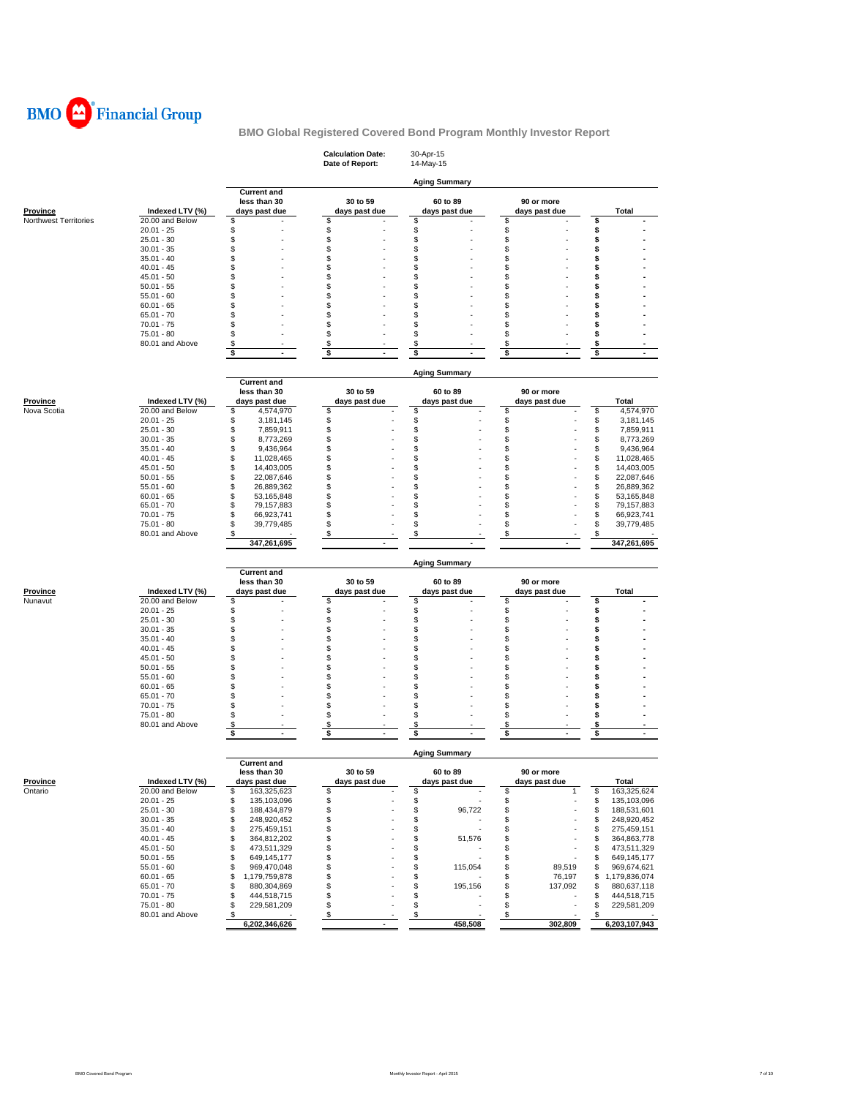

|                       |                                 |                                      | <b>Calculation Date:</b><br>Date of Report: | 30-Apr-15<br>14-May-15  |                      |                                      |
|-----------------------|---------------------------------|--------------------------------------|---------------------------------------------|-------------------------|----------------------|--------------------------------------|
|                       |                                 |                                      |                                             | <b>Aging Summary</b>    |                      |                                      |
|                       |                                 | <b>Current and</b><br>less than 30   | 30 to 59                                    | 60 to 89                | 90 or more           |                                      |
| Province              | Indexed LTV (%)                 | days past due                        | days past due                               | days past due           | days past due        | <b>Total</b>                         |
| Northwest Territories | 20.00 and Below                 | \$                                   | \$                                          | \$                      | \$                   | \$                                   |
|                       | $20.01 - 25$                    | \$                                   | \$                                          | \$                      | \$                   | \$                                   |
|                       | $25.01 - 30$                    | \$                                   | \$                                          | \$                      | \$                   | \$                                   |
|                       | $30.01 - 35$                    | \$                                   | S                                           | \$                      | \$                   | \$                                   |
|                       | $35.01 - 40$<br>$40.01 - 45$    | \$<br>\$                             | \$<br>\$                                    | \$<br>S                 | \$<br>\$             | \$<br>\$                             |
|                       | $45.01 - 50$                    | \$                                   | \$                                          | \$                      | \$                   | \$                                   |
|                       | $50.01 - 55$                    | \$                                   | \$                                          | \$                      | \$                   | \$                                   |
|                       | $55.01 - 60$                    | \$                                   | \$                                          | \$                      | \$                   | \$                                   |
|                       | $60.01 - 65$                    | \$                                   | \$                                          | \$                      | \$                   | \$                                   |
|                       | $65.01 - 70$                    | \$                                   | S                                           | \$                      | \$                   | \$                                   |
|                       | $70.01 - 75$                    | \$                                   | \$                                          | \$                      | \$                   | \$                                   |
|                       | $75.01 - 80$                    | \$                                   | \$                                          | \$                      | \$                   | \$                                   |
|                       | 80.01 and Above                 | \$<br>\$<br>$\blacksquare$           | \$<br>\$<br>$\sim$                          | \$<br>\$                | \$<br>\$<br>÷        | \$<br>\$                             |
|                       |                                 |                                      |                                             |                         |                      |                                      |
|                       |                                 |                                      |                                             | <b>Aging Summary</b>    |                      |                                      |
|                       |                                 | <b>Current and</b>                   |                                             |                         |                      |                                      |
|                       |                                 | less than 30                         | 30 to 59                                    | 60 to 89                | 90 or more           |                                      |
| <b>Province</b>       | Indexed LTV (%)                 | days past due                        | days past due                               | days past due           | days past due        | <b>Total</b>                         |
| Nova Scotia           | 20.00 and Below                 | \$<br>4,574,970                      | \$                                          | \$                      | \$                   | \$<br>4,574,970                      |
|                       | $20.01 - 25$                    | \$<br>3,181,145                      | \$                                          | \$                      | \$                   | \$<br>3,181,145                      |
|                       | $25.01 - 30$<br>$30.01 - 35$    | \$<br>7,859,911<br>\$<br>8,773,269   | \$<br>\$                                    | \$<br>\$                | \$<br>\$             | \$<br>7,859,911<br>\$<br>8,773,269   |
|                       | $35.01 - 40$                    | \$<br>9,436,964                      | S                                           | \$                      | \$                   | \$<br>9,436,964                      |
|                       | $40.01 - 45$                    | \$<br>11,028,465                     | \$                                          | \$                      | \$                   | \$<br>11,028,465                     |
|                       | $45.01 - 50$                    | \$<br>14,403,005                     | \$                                          | \$                      | \$                   | \$<br>14,403,005                     |
|                       | $50.01 - 55$                    | \$<br>22,087,646                     | \$                                          | \$                      | \$                   | \$<br>22,087,646                     |
|                       | $55.01 - 60$                    | \$<br>26,889,362                     | \$                                          | \$                      | \$                   | \$<br>26,889,362                     |
|                       | $60.01 - 65$                    | \$<br>53,165,848                     | \$                                          | \$                      | \$                   | \$<br>53,165,848                     |
|                       | $65.01 - 70$                    | \$<br>79,157,883                     | \$                                          | \$                      | \$                   | \$<br>79,157,883                     |
|                       | $70.01 - 75$<br>$75.01 - 80$    | \$<br>66,923,741<br>\$<br>39,779,485 | \$<br>\$                                    | \$<br>\$                | \$<br>\$             | \$<br>66,923,741<br>\$<br>39,779,485 |
|                       | 80.01 and Above                 | \$                                   | \$                                          | \$                      | \$                   | \$                                   |
|                       |                                 | 347,261,695                          |                                             |                         |                      | 347,261,695                          |
|                       |                                 |                                      |                                             |                         |                      |                                      |
|                       |                                 |                                      |                                             | <b>Aging Summary</b>    |                      |                                      |
|                       |                                 | <b>Current and</b>                   |                                             |                         |                      |                                      |
|                       |                                 | less than 30                         | 30 to 59                                    | 60 to 89                | 90 or more           |                                      |
| Province              | Indexed LTV (%)                 | days past due                        | days past due<br>\$                         | days past due<br>\$     | days past due<br>\$  | <b>Total</b><br>\$                   |
| Nunavut               | 20.00 and Below<br>$20.01 - 25$ | \$<br>\$                             | \$                                          | \$                      | \$                   | \$                                   |
|                       | $25.01 - 30$                    | \$                                   | \$                                          | \$                      | \$                   | \$                                   |
|                       | $30.01 - 35$                    | \$                                   | \$                                          | \$                      | \$                   | \$                                   |
|                       | $35.01 - 40$                    | \$                                   | S                                           | \$                      | \$                   | \$                                   |
|                       | $40.01 - 45$                    | \$                                   | \$                                          | \$                      | \$                   | \$                                   |
|                       | $45.01 - 50$                    | \$                                   | \$                                          | \$                      | \$                   | \$                                   |
|                       | $50.01 - 55$                    | \$                                   | \$                                          | \$                      | \$                   | \$                                   |
|                       | $55.01 - 60$                    | \$<br>\$                             | \$<br>\$                                    | \$<br>\$                | \$<br>\$             | \$<br>\$                             |
|                       | $60.01 - 65$<br>$65.01 - 70$    | \$                                   | \$                                          | \$                      | \$                   | \$                                   |
|                       | $70.01 - 75$                    | \$                                   | \$                                          | \$                      | \$                   | \$                                   |
|                       | 75.01 - 80                      | \$                                   | \$                                          | \$                      | \$                   | \$                                   |
|                       | 80.01 and Above                 | \$                                   | \$                                          | \$                      | \$                   | \$                                   |
|                       |                                 | \$<br>$\sim$                         | \$<br>$\sim$                                | \$<br>$\blacksquare$    | \$<br>$\blacksquare$ | \$<br>$\blacksquare$                 |
|                       |                                 |                                      |                                             |                         |                      |                                      |
|                       |                                 | <b>Current and</b>                   |                                             | <b>Aging Summary</b>    |                      |                                      |
|                       |                                 | less than 30                         | 30 to 59                                    | 60 to 89                | 90 or more           |                                      |
| Province              | Indexed LTV (%)                 | days past due                        | days past due                               | days past due           | days past due        | Total                                |
| Ontario               | 20.00 and Below                 | 163,325,623<br>\$                    | \$                                          | \$                      | \$<br>1              | \$<br>163,325,624                    |
|                       | $20.01 - 25$                    | \$<br>135,103,096                    | \$                                          | \$                      | \$                   | \$<br>135,103,096                    |
|                       | $25.01 - 30$                    | \$<br>188,434,879                    | \$                                          | $\dot{\$}$<br>96,722    | \$                   | 188,531,601<br>\$                    |
|                       | $30.01 - 35$                    | \$<br>248,920,452                    | \$                                          | \$                      | \$                   | \$<br>248,920,452                    |
|                       | $35.01 - 40$                    | \$<br>275,459,151                    | \$                                          | \$                      | \$                   | \$<br>275,459,151                    |
|                       | $40.01 - 45$<br>45.01 - 50      | \$<br>364,812,202<br>\$              | \$<br>\$                                    | \$<br>51,576<br>\$      | \$<br>\$             | \$<br>364,863,778<br>\$              |
|                       | $50.01 - 55$                    | 473,511,329<br>\$<br>649,145,177     | \$                                          | \$                      | \$                   | 473,511,329<br>\$<br>649,145,177     |
|                       | $55.01 - 60$                    | \$<br>969,470,048                    | \$                                          | \$<br>115,054           | \$<br>89,519         | \$<br>969,674,621                    |
|                       | $60.01 - 65$                    | \$<br>1,179,759,878                  | \$                                          | \$                      | \$<br>76,197         | \$<br>1,179,836,074                  |
|                       | $65.01 - 70$                    | \$<br>880,304,869                    | \$                                          | \$<br>195,156           | \$<br>137,092        | \$<br>880,637,118                    |
|                       | $70.01 - 75$                    | \$<br>444,518,715                    | \$                                          | \$                      | \$                   | \$<br>444,518,715                    |
|                       | 75.01 - 80                      | \$<br>229,581,209                    | \$                                          | \$                      | \$                   | \$<br>229,581,209                    |
|                       | 80.01 and Above                 | \$                                   | \$                                          | $\sqrt[6]{\frac{2}{5}}$ | \$                   | \$                                   |
|                       |                                 | 6,202,346,626                        |                                             | 458,508                 | 302,809              | 6,203,107,943                        |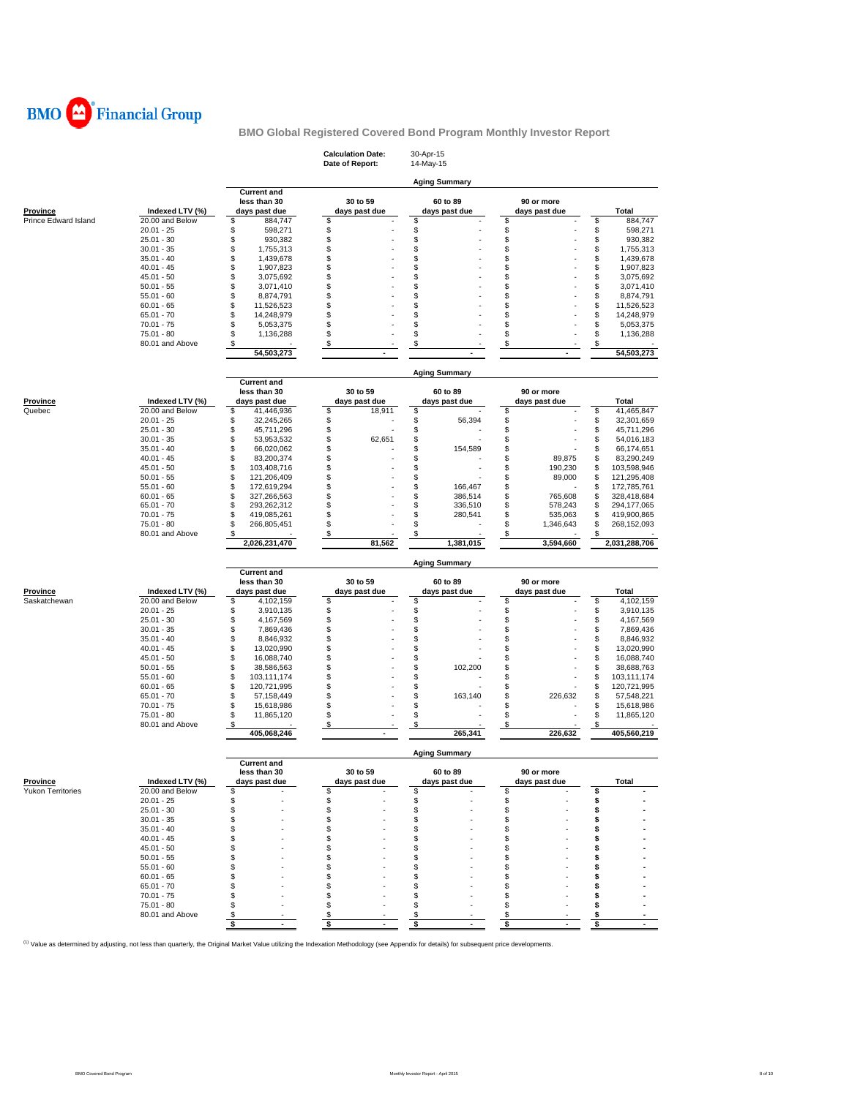

|                      |                                 |                                                     | <b>Calculation Date:</b><br>Date of Report: | 30-Apr-15<br>14-May-15    |                             |                                      |
|----------------------|---------------------------------|-----------------------------------------------------|---------------------------------------------|---------------------------|-----------------------------|--------------------------------------|
|                      |                                 |                                                     |                                             | <b>Aging Summary</b>      |                             |                                      |
| Province             | Indexed LTV (%)                 | <b>Current and</b><br>less than 30<br>days past due | 30 to 59<br>days past due                   | 60 to 89<br>days past due | 90 or more<br>days past due | Total                                |
| Prince Edward Island | 20.00 and Below<br>$20.01 - 25$ | \$<br>884,747<br>\$<br>598,271                      | \$<br>\$                                    | \$                        | \$<br>\$                    | \$<br>884,747<br>\$<br>598,271       |
|                      | $25.01 - 30$                    | \$<br>930,382                                       | \$                                          | \$                        | \$                          | \$<br>930,382                        |
|                      | $30.01 - 35$                    | \$<br>1,755,313                                     | \$                                          | \$                        | \$                          | \$<br>1,755,313                      |
|                      | $35.01 - 40$                    | \$<br>1,439,678                                     | \$                                          | \$                        | \$                          | \$<br>1,439,678                      |
|                      | $40.01 - 45$                    | \$<br>1,907,823                                     | \$                                          | \$                        | \$                          | \$<br>1,907,823                      |
|                      | $45.01 - 50$                    | \$<br>3,075,692                                     | \$                                          | \$                        | \$                          | \$<br>3,075,692                      |
|                      | $50.01 - 55$                    | \$<br>3,071,410                                     | \$                                          | \$                        | \$                          | \$<br>3,071,410                      |
|                      | $55.01 - 60$                    | \$<br>8,874,791                                     | \$                                          | \$                        | \$                          | \$<br>8,874,791                      |
|                      | $60.01 - 65$                    | \$<br>11,526,523                                    | \$                                          | \$                        | S                           | \$<br>11,526,523                     |
|                      | $65.01 - 70$                    | \$<br>14,248,979                                    | \$                                          | \$                        | S                           | \$<br>14,248,979                     |
|                      | $70.01 - 75$                    | \$<br>5,053,375                                     | \$                                          | \$                        | \$                          | \$<br>5,053,375                      |
|                      | $75.01 - 80$                    | \$<br>1,136,288                                     | \$                                          | \$                        | \$                          | \$<br>1,136,288                      |
|                      | 80.01 and Above                 | \$                                                  | \$                                          | \$                        | \$                          | \$                                   |
|                      |                                 | 54,503,273                                          |                                             |                           |                             | 54,503,273                           |
|                      |                                 |                                                     |                                             | <b>Aging Summary</b>      |                             |                                      |
|                      |                                 | <b>Current and</b>                                  |                                             |                           |                             |                                      |
|                      |                                 | less than 30                                        | 30 to 59                                    | 60 to 89                  | 90 or more                  |                                      |
| Province             | Indexed LTV (%)                 | days past due                                       | days past due                               | days past due             | days past due               | Total                                |
| Quebec               | 20.00 and Below<br>$20.01 - 25$ | \$<br>41,446,936<br>32,245,265                      | \$<br>18,911                                | \$                        | \$                          | \$<br>41,465,847                     |
|                      |                                 | \$<br>45.711.296                                    | \$                                          | \$<br>56,394              | \$                          | \$<br>32,301,659                     |
|                      | $25.01 - 30$<br>$30.01 - 35$    | \$<br>53,953,532                                    | \$<br>\$<br>62,651                          | \$                        | \$<br>S                     | \$<br>45,711,296<br>\$<br>54,016,183 |
|                      | $35.01 - 40$                    | \$<br>\$<br>66,020,062                              | \$                                          | \$<br>\$<br>154,589       | \$                          | \$<br>66,174,651                     |
|                      | $40.01 - 45$                    | \$<br>83,200,374                                    | \$                                          | \$                        | 89,875<br>\$                | \$<br>83,290,249                     |
|                      | $45.01 - 50$                    | \$<br>103,408,716                                   | \$                                          | \$                        | 190,230<br>\$               | \$<br>103,598,946                    |
|                      | $50.01 - 55$                    | \$<br>121,206,409                                   | \$                                          | \$                        | 89,000<br>\$                | \$<br>121,295,408                    |
|                      | $55.01 - 60$                    | \$<br>172,619,294                                   | \$                                          | \$<br>166,467             | \$                          | \$<br>172,785,761                    |
|                      | $60.01 - 65$                    | \$<br>327,266,563                                   | \$                                          | \$<br>386,514             | \$<br>765,608               | \$<br>328,418,684                    |
|                      | $65.01 - 70$                    | \$<br>293,262,312                                   | \$                                          | \$<br>336,510             | \$<br>578,243               | \$<br>294,177,065                    |
|                      | $70.01 - 75$                    | \$<br>419,085,261                                   | \$                                          | \$<br>280,541             | \$<br>535,063               | \$<br>419,900,865                    |
|                      | $75.01 - 80$                    | \$<br>266,805,451                                   | \$                                          | \$                        | \$<br>1,346,643             | \$<br>268,152,093                    |
|                      | 80.01 and Above                 | \$                                                  | \$                                          | \$                        | \$                          | \$                                   |
|                      |                                 | 2,026,231,470                                       | 81,562                                      |                           |                             |                                      |
|                      |                                 |                                                     |                                             | 1,381,015                 | 3,594,660                   | 2,031,288,706                        |
|                      |                                 |                                                     |                                             | <b>Aging Summary</b>      |                             |                                      |
|                      |                                 | <b>Current and</b>                                  |                                             |                           |                             |                                      |
|                      |                                 | less than 30                                        | 30 to 59                                    | 60 to 89                  | 90 or more                  |                                      |
| Province             | Indexed LTV (%)                 | days past due                                       | days past due                               | days past due             | days past due               | Total                                |
| Saskatchewan         | 20.00 and Below                 | \$<br>4,102,159                                     | \$                                          | \$                        | \$                          | \$<br>4,102,159                      |
|                      | $20.01 - 25$                    | \$<br>3,910,135                                     | \$                                          | \$                        | \$                          | \$<br>3,910,135                      |
|                      | $25.01 - 30$                    | \$<br>4,167,569                                     | \$                                          | \$                        | \$                          | \$<br>4,167,569                      |
|                      | $30.01 - 35$                    | \$<br>7,869,436                                     | \$                                          | \$                        | \$                          | \$<br>7,869,436                      |
|                      | $35.01 - 40$                    | \$<br>8,846,932                                     | \$                                          | \$                        | \$                          | \$<br>8,846,932                      |
|                      | $40.01 - 45$                    | \$<br>13,020,990                                    | \$                                          | \$                        | \$                          | \$<br>13,020,990                     |
|                      | $45.01 - 50$                    | \$<br>16,088,740                                    | \$                                          | \$                        | \$                          | \$<br>16,088,740                     |
|                      | $50.01 - 55$                    | \$<br>38,586,563                                    | \$                                          | \$<br>102,200             | \$                          | \$<br>38,688,763                     |
|                      | $55.01 - 60$                    | \$<br>103,111,174                                   | \$                                          | \$                        | \$                          | \$<br>103,111,174                    |
|                      | $60.01 - 65$<br>$65.01 - 70$    | \$<br>120,721,995                                   | \$                                          | \$                        | \$<br>\$<br>226.632         | \$<br>120,721,995                    |
|                      | $70.01 - 75$                    | \$<br>57,158,449                                    | \$                                          | \$<br>163,140             | \$                          | \$<br>57,548,221                     |
|                      | $75.01 - 80$                    | \$<br>15,618,986<br>\$<br>11,865,120                | \$<br>\$                                    | \$<br>\$                  | \$                          | \$<br>15,618,986<br>\$<br>11,865,120 |
|                      | 80.01 and Above                 | \$                                                  | \$                                          | \$                        | \$                          | \$                                   |
|                      |                                 | 405,068,246                                         |                                             | 265,341                   | 226,632                     | 405.560.219                          |
|                      |                                 | <b>Current and</b>                                  |                                             | <b>Aging Summary</b>      |                             |                                      |
|                      |                                 | less than 30                                        | 30 to 59                                    | 60 to 89                  | 90 or more                  |                                      |
| Province             | Indexed LTV (%)                 | days past due                                       | days past due                               | days past due             | days past due               | Total                                |
| Yukon Territories    | 20.00 and Below                 | \$                                                  | \$                                          | \$                        | \$                          | \$                                   |
|                      | $20.01 - 25$                    | \$                                                  | \$                                          | \$                        | \$                          | \$                                   |
|                      | $25.01 - 30$                    | \$                                                  | \$                                          | \$                        | \$                          | \$                                   |
|                      | $30.01 - 35$                    | \$                                                  | \$                                          | \$                        | \$                          | \$                                   |
|                      | $35.01 - 40$                    | \$                                                  | \$                                          | \$                        | S                           | \$                                   |
|                      | $40.01 - 45$                    | S                                                   | \$                                          | \$                        | S                           | \$                                   |
|                      | $45.01 - 50$                    | S                                                   | \$                                          | \$                        | S                           | S                                    |
|                      | $50.01 - 55$                    | S                                                   | \$                                          | \$                        | S                           | \$                                   |
|                      | $55.01 - 60$                    | S                                                   | \$                                          | \$                        | S                           | \$                                   |
|                      | $60.01 - 65$                    | S                                                   | \$                                          | \$                        | S                           | \$                                   |
|                      | $65.01 - 70$                    | S                                                   | \$                                          | \$                        | S                           | \$                                   |
|                      | $70.01 - 75$                    | S                                                   | \$                                          | \$                        | S                           | \$                                   |
|                      | 75.01 - 80                      | S                                                   | \$                                          | \$                        | S                           | \$                                   |
|                      | 80.01 and Above                 | \$<br>\$<br>$\sim$                                  | \$<br>\$<br>$\sim$                          | \$<br>\$<br>$\sim$        | s<br>\$<br>$\sim$           | \$<br>\$<br>$\sim$                   |

<sup>(1)</sup> Value as determined by adjusting, not less than quarterly, the Original Market Value utilizing the Indexation Methodology (see Appendix for details) for subsequent price developments.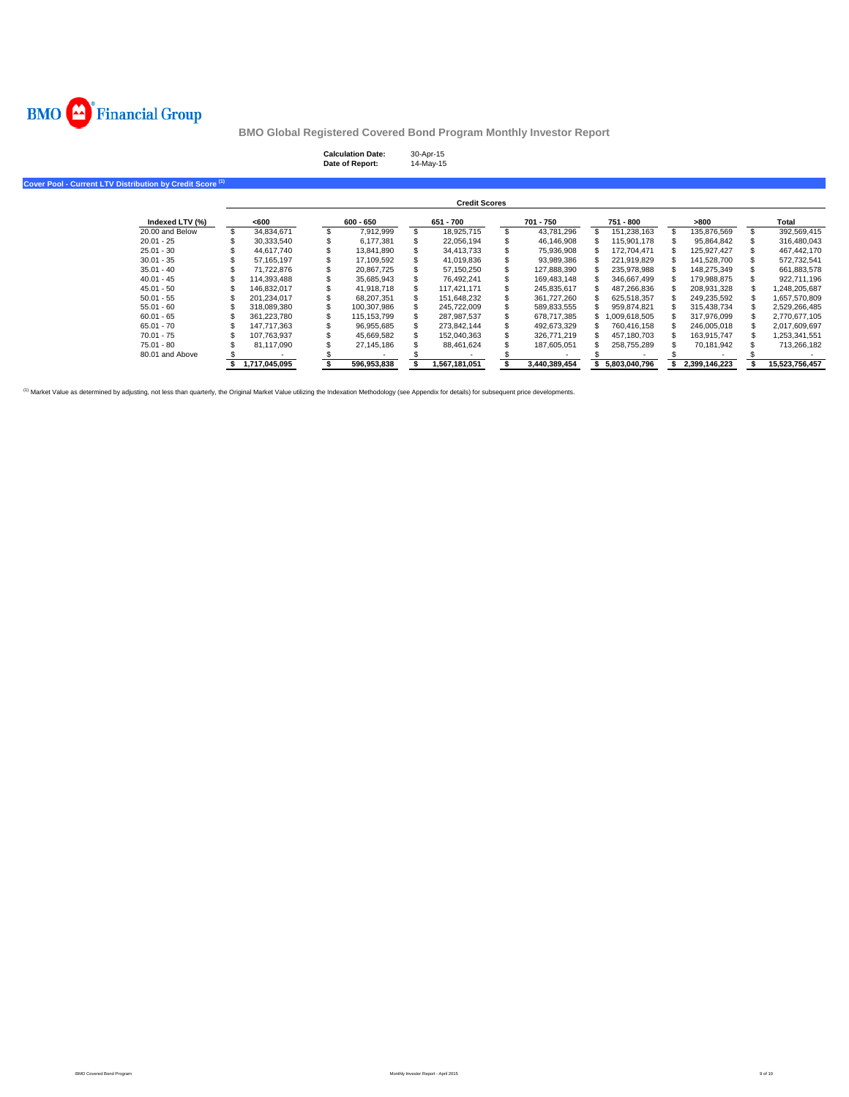

| <b>Calculation Date:</b> | 30-Apr-15 |
|--------------------------|-----------|
| Date of Report:          | 14-May-15 |

**Cover Pool - Current LTV Distribution by Credit Score <sup>(1</sup>)** 

| <b>Credit Scores</b> |  |               |  |             |   |               |  |               |  |               |               |                |
|----------------------|--|---------------|--|-------------|---|---------------|--|---------------|--|---------------|---------------|----------------|
| Indexed LTV (%)      |  | <600          |  | $600 - 650$ |   | 651 - 700     |  | 701 - 750     |  | 751 - 800     | >800          | Total          |
| 20.00 and Below      |  | 34.834.671    |  | 7.912.999   |   | 18.925.715    |  | 43.781.296    |  | 151.238.163   | 135.876.569   | 392.569.415    |
| $20.01 - 25$         |  | 30.333.540    |  | 6.177.381   |   | 22,056,194    |  | 46.146.908    |  | 115.901.178   | 95.864.842    | 316,480,043    |
| $25.01 - 30$         |  | 44.617.740    |  | 13.841.890  |   | 34.413.733    |  | 75.936.908    |  | 172.704.471   | 125.927.427   | 467.442.170    |
| $30.01 - 35$         |  | 57.165.197    |  | 17.109.592  |   | 41.019.836    |  | 93.989.386    |  | 221.919.829   | 141.528.700   | 572.732.541    |
| $35.01 - 40$         |  | 71.722.876    |  | 20.867.725  |   | 57.150.250    |  | 127.888.390   |  | 235.978.988   | 148.275.349   | 661,883,578    |
| $40.01 - 45$         |  | 114.393.488   |  | 35.685.943  |   | 76.492.241    |  | 169.483.148   |  | 346.667.499   | 179.988.875   | 922.711.196    |
| $45.01 - 50$         |  | 146.832.017   |  | 41.918.718  | S | 117.421.171   |  | 245.835.617   |  | 487.266.836   | 208.931.328   | ,248,205,687   |
| $50.01 - 55$         |  | 201.234.017   |  | 68.207.351  | S | 151.648.232   |  | 361.727.260   |  | 625.518.357   | 249.235.592   | 1.657.570.809  |
| $55.01 - 60$         |  | 318.089.380   |  | 100.307.986 |   | 245.722.009   |  | 589.833.555   |  | 959.874.821   | 315.438.734   | 2.529.266.485  |
| $60.01 - 65$         |  | 361.223.780   |  | 115.153.799 |   | 287.987.537   |  | 678.717.385   |  | .009.618.505  | 317.976.099   | 2,770,677,105  |
| $65.01 - 70$         |  | 147.717.363   |  | 96.955.685  |   | 273.842.144   |  | 492.673.329   |  | 760.416.158   | 246.005.018   | 2,017,609,697  |
| $70.01 - 75$         |  | 107.763.937   |  | 45.669.582  |   | 152.040.363   |  | 326.771.219   |  | 457.180.703   | 163.915.747   | ,253,341,551   |
| $75.01 - 80$         |  | 81.117.090    |  | 27.145.186  |   | 88.461.624    |  | 187.605.051   |  | 258.755.289   | 70.181.942    | 713.266.182    |
| 80.01 and Above      |  |               |  |             |   |               |  |               |  |               |               |                |
|                      |  | 1,717,045,095 |  | 596.953.838 |   | 1.567.181.051 |  | 3.440.389.454 |  | 5.803.040.796 | 2.399.146.223 | 15.523.756.457 |

<sup>(1)</sup> Market Value as determined by adjusting, not less than quarterly, the Original Market Value utilizing the Indexation Methodology (see Appendix for details) for subsequent price developments.